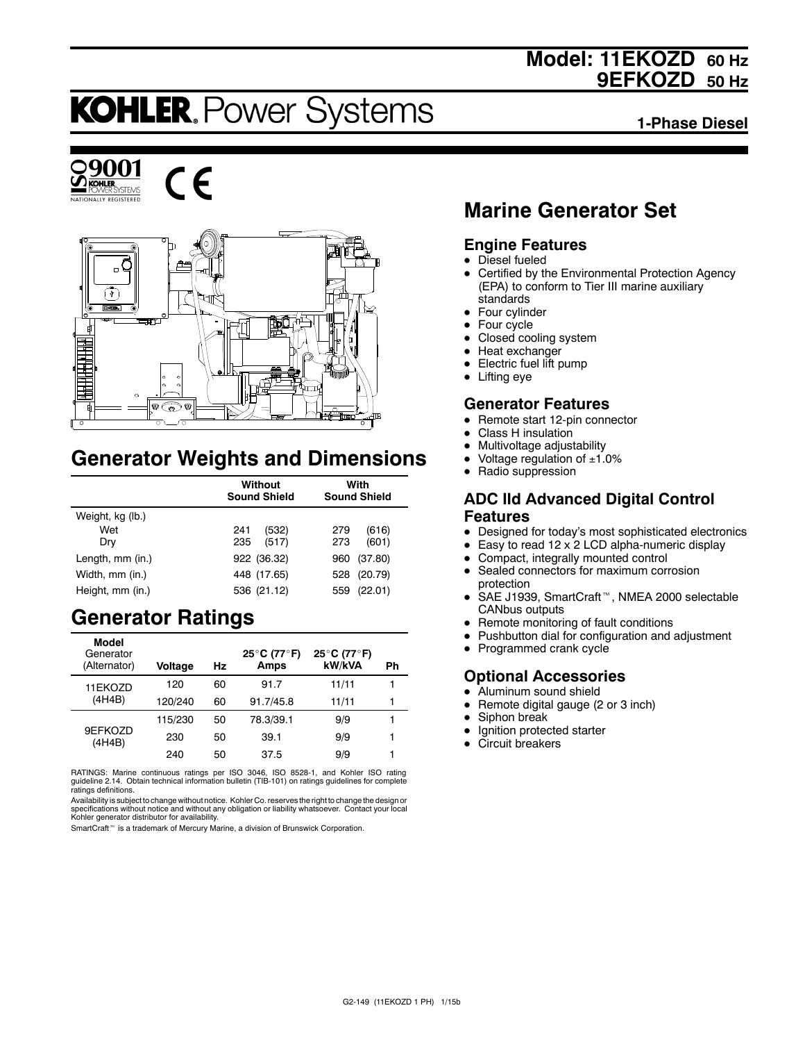## **Model: 11EKOZD 60 Hz 9EFKOZD 50 Hz**

# **KOHLER. Power Systems**

**1-Phase Diesel**







## **Generator Weights and Dimensions**

|                  | <b>Without</b><br><b>Sound Shield</b> | With<br><b>Sound Shield</b> |  |
|------------------|---------------------------------------|-----------------------------|--|
| Weight, kg (lb.) |                                       |                             |  |
| Wet              | (532)<br>241                          | (616)<br>279                |  |
| Dry              | (517)<br>235                          | 273<br>(601)                |  |
| Length, mm (in.) | 922 (36.32)                           | (37.80)<br>960              |  |
| Width, mm (in.)  | 448 (17.65)                           | (20.79)<br>528              |  |
| Height, mm (in.) | 536 (21.12)                           | (22.01)<br>559              |  |

## **Generator Ratings**

| Model<br>Generator<br>(Alternator) | <b>Voltage</b> | Hz | 25°C (77°F)<br>Amps | 25°C (77°F)<br>kW/kVA | Ph |
|------------------------------------|----------------|----|---------------------|-----------------------|----|
| 11EKOZD                            | 120            | 60 | 91.7                | 11/11                 | 1  |
| (4H4B)                             | 120/240        | 60 | 91.7/45.8           | 11/11                 | 1  |
|                                    | 115/230        | 50 | 78.3/39.1           | 9/9                   | 1  |
| 9EFKOZD<br>(4H4B)                  | 230            | 50 | 39.1                | 9/9                   | 1  |
|                                    | 240            | 50 | 37.5                | 9/9                   | 1  |

RATINGS: Marine continuous ratings per ISO 3046, ISO 8528-1, and Kohler ISO rating guideline 2.14. Obtain technical information bulletin (TIB-101) on ratings guidelines for complete ratings definitions.

Availability is subject to change without notice. Kohler Co. reserves the right to change the design or<br>specifications without notice and without any obligation or liability whatsoever. Contact your local<br>Kohler generator

SmartCraft<sup>™</sup> is a trademark of Mercury Marine, a division of Brunswick Corporation.

## **Marine Generator Set**

## **Engine Features**

- $\bullet$  Diesel fueled
- Certified by the Environmental Protection Agency (EPA) to conform to Tier III marine auxiliary standards
- $\bullet$  Four cylinder
- $\bullet$  Four cycle
- Closed cooling system
- $\bullet$  Heat exchanger
- Electric fuel lift pump
- $\bullet$  Lifting eye

## **Generator Features**

- Remote start 12-pin connector
- Class H insulation
- Multivoltage adjustability
- Voltage regulation of  $±1.0\%$
- Radio suppression

### **ADC IId Advanced Digital Control Features**

- Designed for today's most sophisticated electronics
- $\bullet$  Easy to read 12 x 2 LCD alpha-numeric display
- Compact, integrally mounted control
- Sealed connectors for maximum corrosion protection
- SAE J1939, SmartCraft<sup>™</sup>, NMEA 2000 selectable CANbus outputs
- Remote monitoring of fault conditions
- Pushbutton dial for configuration and adjustment
- Programmed crank cycle

### **Optional Accessories**

- Aluminum sound shield
- Remote digital gauge (2 or 3 inch)
- $\bullet$  Siphon break
- $\bullet$  Ignition protected starter
- Circuit breakers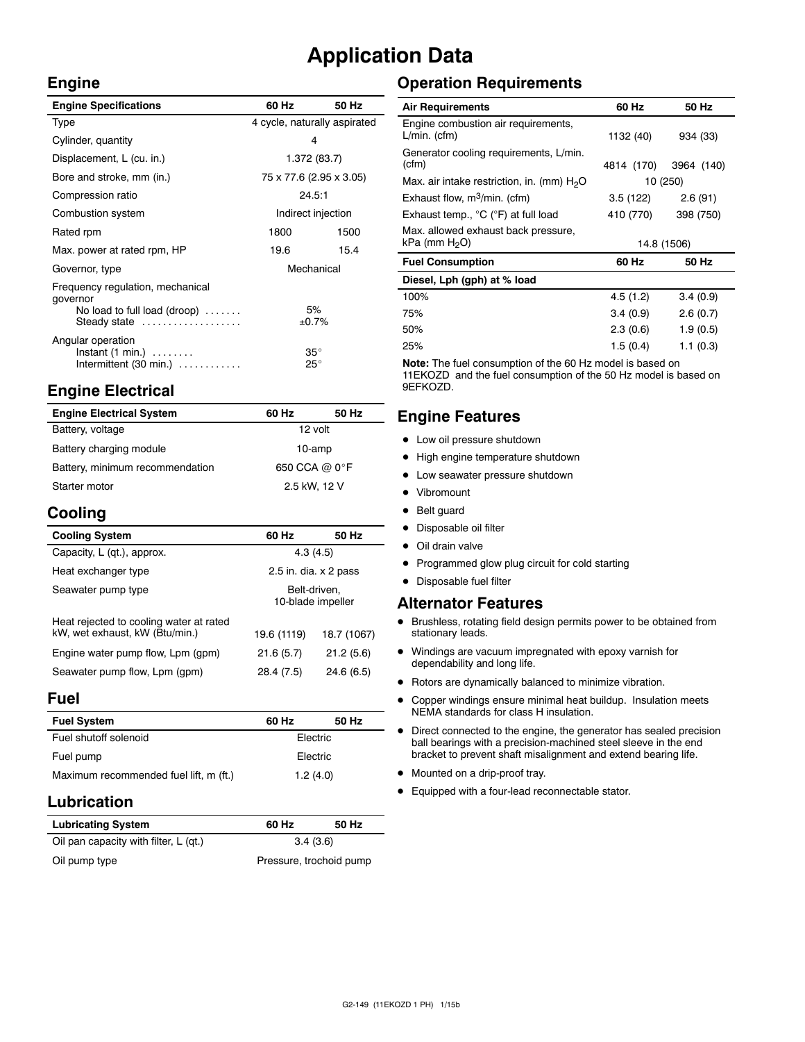## **Application Data**

### **Engine**

| <b>Engine Specifications</b>                                                                                 | 60 Hz                        | 50 Hz |
|--------------------------------------------------------------------------------------------------------------|------------------------------|-------|
| Type                                                                                                         | 4 cycle, naturally aspirated |       |
| Cylinder, quantity                                                                                           | 4                            |       |
| Displacement, L (cu. in.)                                                                                    | 1.372 (83.7)                 |       |
| Bore and stroke, mm (in.)                                                                                    | 75 x 77.6 (2.95 x 3.05)      |       |
| Compression ratio                                                                                            | 24.5:1                       |       |
| Combustion system                                                                                            | Indirect injection           |       |
| Rated rpm                                                                                                    | 1800                         | 1500  |
| Max. power at rated rpm, HP                                                                                  | 19.6                         | 15.4  |
| Governor, type                                                                                               | Mechanical                   |       |
| Frequency requiation, mechanical<br>governor<br>No load to full load (droop) $\ldots \ldots$<br>Steady state | 5%<br>±0.7%                  |       |
| Angular operation<br>$Instant (1 min.) \ldots \ldots$<br>Intermittent (30 min.)                              | $35^{\circ}$<br>$25^{\circ}$ |       |

## **Engine Electrical**

| <b>Engine Electrical System</b> | 60 Hz         | 50 Hz |
|---------------------------------|---------------|-------|
| Battery, voltage                | 12 volt       |       |
| Battery charging module         | 10-amp        |       |
| Battery, minimum recommendation | 650 CCA @ 0°F |       |
| Starter motor                   | 2.5 kW, 12 V  |       |

## **Cooling**

| <b>Cooling System</b>                                                     | 60 Hz                             | 50 Hz       |
|---------------------------------------------------------------------------|-----------------------------------|-------------|
| Capacity, L (qt.), approx.                                                | 4.3(4.5)                          |             |
| Heat exchanger type                                                       | 2.5 in. dia. $\times$ 2 pass      |             |
| Seawater pump type                                                        | Belt-driven.<br>10-blade impeller |             |
| Heat rejected to cooling water at rated<br>kW, wet exhaust, kW (Btu/min.) | 19.6 (1119)                       | 18.7 (1067) |
| Engine water pump flow, Lpm (gpm)                                         | 21.6(5.7)                         | 21.2(5.6)   |
| Seawater pump flow, Lpm (gpm)                                             | 28.4 (7.5)                        | 24.6(6.5)   |

### **Fuel**

| <b>Fuel System</b>                     | 60 Hz    | 50 Hz |
|----------------------------------------|----------|-------|
| Fuel shutoff solenoid                  | Electric |       |
| Fuel pump                              | Electric |       |
| Maximum recommended fuel lift, m (ft.) | 1.2(4.0) |       |

## **Lubrication**

| <b>Lubricating System</b>             | 60 Hz                   | 50 Hz |
|---------------------------------------|-------------------------|-------|
| Oil pan capacity with filter, L (qt.) | 3.4(3.6)                |       |
| Oil pump type                         | Pressure, trochoid pump |       |

## **Operation Requirements**

| <b>Air Requirements</b>                                  | 60 Hz       | 50 Hz      |
|----------------------------------------------------------|-------------|------------|
| Engine combustion air requirements,<br>$L/min.$ (cfm)    | 1132 (40)   | 934 (33)   |
| Generator cooling requirements, L/min.<br>(cfm)          | 4814 (170)  | 3964 (140) |
| Max. air intake restriction, in. (mm) $H2O$              | 10 (250)    |            |
| Exhaust flow, $m^3/m$ in. (cfm)                          | 3.5(122)    | 2.6(91)    |
| Exhaust temp., °C (°F) at full load                      | 410 (770)   | 398 (750)  |
| Max. allowed exhaust back pressure,<br>$kPa$ (mm $H2O$ ) | 14.8 (1506) |            |
| <b>Fuel Consumption</b>                                  | 60 Hz       | 50 Hz      |
| Diesel, Lph (gph) at % load                              |             |            |
| 100%                                                     | 4.5(1.2)    | 3.4(0.9)   |
| 75%                                                      | 3.4(0.9)    | 2.6(0.7)   |
| 50%                                                      | 2.3(0.6)    | 1.9(0.5)   |

**Note:** The fuel consumption of the 60 Hz model is based on 11EKOZD and the fuel consumption of the 50 Hz model is based on 9EFKOZD.

25% 1.5 (0.4) 1.1 (0.3)

## **Engine Features**

- $\bullet$  Low oil pressure shutdown
- High engine temperature shutdown
- Low seawater pressure shutdown
- Vibromount
- Belt guard
- Disposable oil filter
- $\bullet$  Oil drain valve
- Programmed glow plug circuit for cold starting
- $\bullet$  Disposable fuel filter

#### **Alternator Features**

- $\bullet$  Brushless, rotating field design permits power to be obtained from stationary leads.
- $\bullet$  Windings are vacuum impregnated with epoxy varnish for dependability and long life.
- $\bullet$  Rotors are dynamically balanced to minimize vibration.
- Copper windings ensure minimal heat buildup. Insulation meets NEMA standards for class H insulation.
- $\bullet$  Direct connected to the engine, the generator has sealed precision ball bearings with a precision-machined steel sleeve in the end bracket to prevent shaft misalignment and extend bearing life.
- $\bullet$  Mounted on a drip-proof tray.
- Equipped with a four-lead reconnectable stator.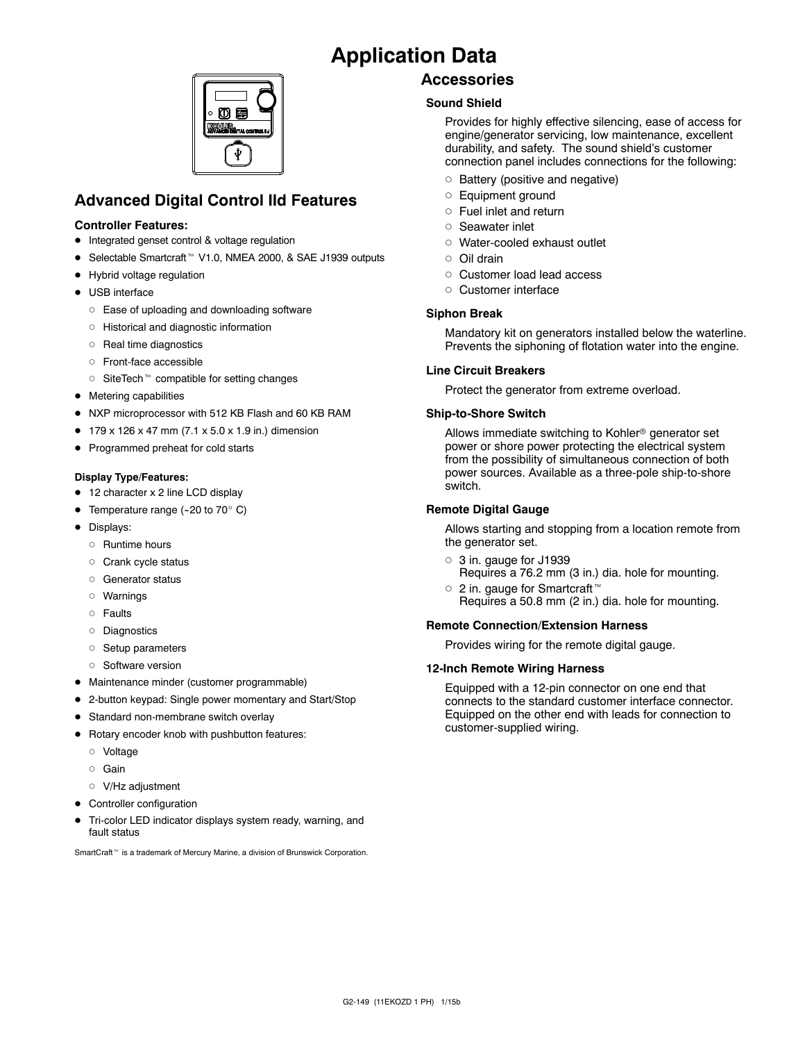## **Application Data**



## **Advanced Digital Control IId Features**

#### **Controller Features:**

- Integrated genset control & voltage regulation
- Selectable Smartcraft<sup>™</sup> V1.0, NMEA 2000, & SAE J1939 outputs
- Hybrid voltage regulation
- USB interface
	- o Ease of uploading and downloading software
	- d Historical and diagnostic information
	- o Real time diagnostics
	- d Front-face accessible
	- $\circ$  SiteTech<sup>\*</sup> compatible for setting changes
- $\bullet$  Metering capabilities
- NXP microprocessor with 512 KB Flash and 60 KB RAM
- $\bullet$  179 x 126 x 47 mm (7.1 x 5.0 x 1.9 in.) dimension
- Programmed preheat for cold starts

#### **Display Type/Features:**

- 12 character x 2 line LCD display
- Temperature range (-20 to 70 $^{\circ}$  C)
- Displays:
	- o Runtime hours
	- o Crank cycle status
	- o Generator status
	- d Warnings
	- $\circ$  Faults
	- o Diagnostics
	- o Setup parameters
	- o Software version
- Maintenance minder (customer programmable)
- 2-button keypad: Single power momentary and Start/Stop
- **•** Standard non-membrane switch overlay
- $\bullet$  Rotary encoder knob with pushbutton features:
	- d Voltage
	- o Gain
	- o V/Hz adjustment
- Controller configuration
- Tri-color LED indicator displays system ready, warning, and fault status

SmartCraft<sup>™</sup> is a trademark of Mercury Marine, a division of Brunswick Corporation.

## **Accessories**

### **Sound Shield**

Provides for highly effective silencing, ease of access for engine/generator servicing, low maintenance, excellent durability, and safety. The sound shield's customer connection panel includes connections for the following:

- $\circ$  Battery (positive and negative)
- o Equipment ground
- $\circ$  Fuel inlet and return
- o Seawater inlet
- o Water-cooled exhaust outlet
- d Oil drain
- o Customer load lead access
- o Customer interface

#### **Siphon Break**

Mandatory kit on generators installed below the waterline. Prevents the siphoning of flotation water into the engine.

#### **Line Circuit Breakers**

Protect the generator from extreme overload.

#### **Ship-to-Shore Switch**

Allows immediate switching to Kohler<sup>®</sup> generator set power or shore power protecting the electrical system from the possibility of simultaneous connection of both power sources. Available as a three-pole ship-to-shore switch.

#### **Remote Digital Gauge**

Allows starting and stopping from a location remote from the generator set.

- $\circ$  3 in. gauge for J1939
- Requires a 76.2 mm (3 in.) dia. hole for mounting.  $\circ$  2 in. gauge for Smartcraft<sup>™</sup>
	- Requires a 50.8 mm (2 in.) dia. hole for mounting.

#### **Remote Connection/Extension Harness**

Provides wiring for the remote digital gauge.

#### **12-Inch Remote Wiring Harness**

Equipped with a 12-pin connector on one end that connects to the standard customer interface connector. Equipped on the other end with leads for connection to customer-supplied wiring.